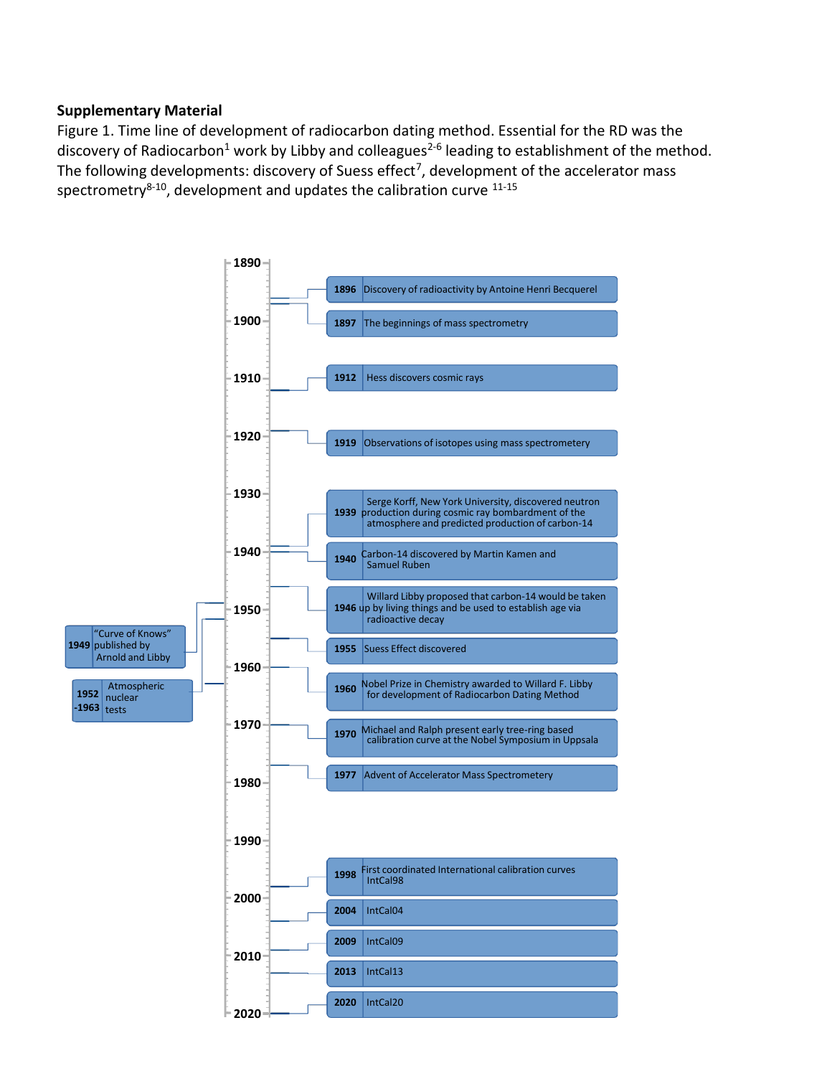## **Supplementary Material**

Figure 1. Time line of development of radiocarbon dating method. Essential for the RD was the discovery of Radiocarbon<sup>1</sup> work by Libby and colleagues<sup>2-6</sup> leading to establishment of the method. The following developments: discovery of Suess effect<sup>7</sup>, development of the accelerator mass spectrometry $8-10$ , development and updates the calibration curve  $11-15$ 

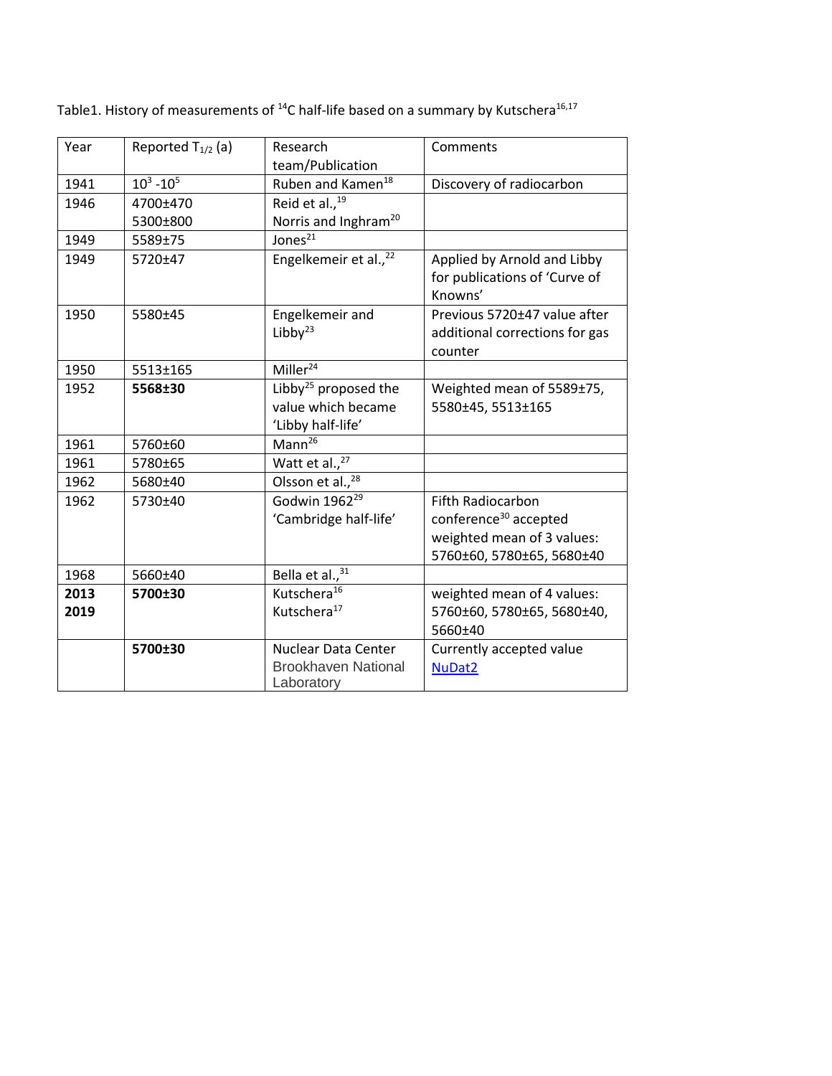| Year | Reported $T_{1/2}$ (a) | Research<br>team/Publication      | Comments                          |
|------|------------------------|-----------------------------------|-----------------------------------|
| 1941 | $10^3 - 10^5$          | Ruben and Kamen <sup>18</sup>     | Discovery of radiocarbon          |
| 1946 | 4700±470               | Reid et al., <sup>19</sup>        |                                   |
|      | 5300±800               | Norris and Inghram <sup>20</sup>  |                                   |
| 1949 | 5589±75                | Jones $^{21}$                     |                                   |
| 1949 | 5720±47                | Engelkemeir et al., <sup>22</sup> | Applied by Arnold and Libby       |
|      |                        |                                   | for publications of 'Curve of     |
|      |                        |                                   | Knowns'                           |
| 1950 | 5580±45                | Engelkemeir and                   | Previous 5720±47 value after      |
|      |                        | Libby $^{23}$                     | additional corrections for gas    |
|      |                        |                                   | counter                           |
| 1950 | 5513±165               | Miller <sup>24</sup>              |                                   |
| 1952 | 5568±30                | Libby <sup>25</sup> proposed the  | Weighted mean of 5589±75,         |
|      |                        | value which became                | 5580±45, 5513±165                 |
|      |                        | 'Libby half-life'                 |                                   |
| 1961 | 5760±60                | Mann <sup>26</sup>                |                                   |
| 1961 | 5780±65                | Watt et al., <sup>27</sup>        |                                   |
| 1962 | 5680±40                | Olsson et al., <sup>28</sup>      |                                   |
| 1962 | 5730±40                | Godwin 1962 <sup>29</sup>         | <b>Fifth Radiocarbon</b>          |
|      |                        | 'Cambridge half-life'             | conference <sup>30</sup> accepted |
|      |                        |                                   | weighted mean of 3 values:        |
|      |                        |                                   | 5760±60, 5780±65, 5680±40         |
| 1968 | 5660±40                | Bella et al., <sup>31</sup>       |                                   |
| 2013 | 5700±30                | Kutschera <sup>16</sup>           | weighted mean of 4 values:        |
| 2019 |                        | Kutschera <sup>17</sup>           | 5760±60, 5780±65, 5680±40,        |
|      |                        |                                   | 5660±40                           |
|      | 5700±30                | <b>Nuclear Data Center</b>        | Currently accepted value          |
|      |                        | <b>Brookhaven National</b>        | NuDat2                            |
|      |                        | Laboratory                        |                                   |

Table1. History of measurements of  $^{14}$ C half-life based on a summary by Kutschera<sup>16,17</sup>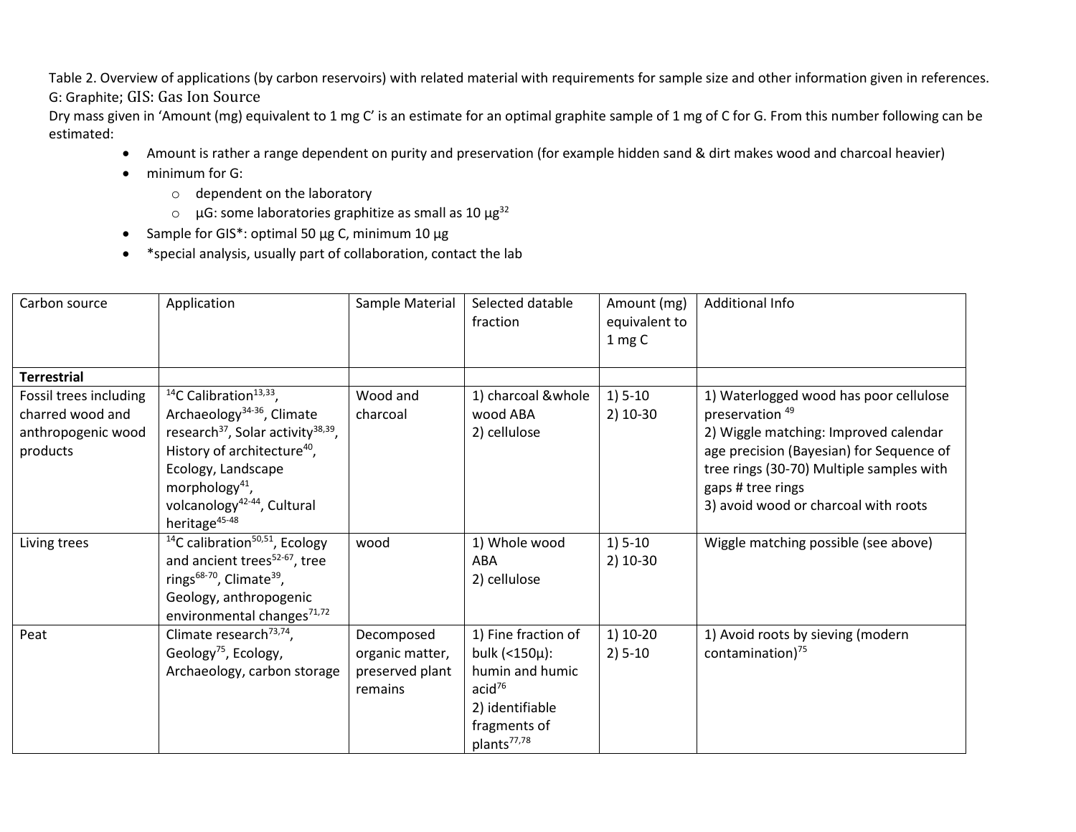Table 2. Overview of applications (by carbon reservoirs) with related material with requirements for sample size and other information given in references. G: Graphite; GIS: Gas Ion Source

Dry mass given in 'Amount (mg) equivalent to 1 mg C' is an estimate for an optimal graphite sample of 1 mg of C for G. From this number following can be estimated:

- Amount is rather a range dependent on purity and preservation (for example hidden sand & dirt makes wood and charcoal heavier)
- minimum for G:
	- o dependent on the laboratory
	- $\circ$  µG: some laboratories graphitize as small as 10 µg<sup>32</sup>
- Sample for GIS\*: optimal 50 µg C, minimum 10 µg
- \*special analysis, usually part of collaboration, contact the lab

| Carbon source                                                                | Application                                                                                                                                                                                                                                                                                                                   | Sample Material                                             | Selected datable<br>fraction                                                                                                                | Amount (mg)<br>equivalent to<br>1 mg C | Additional Info                                                                                                                                                                                                                                                    |
|------------------------------------------------------------------------------|-------------------------------------------------------------------------------------------------------------------------------------------------------------------------------------------------------------------------------------------------------------------------------------------------------------------------------|-------------------------------------------------------------|---------------------------------------------------------------------------------------------------------------------------------------------|----------------------------------------|--------------------------------------------------------------------------------------------------------------------------------------------------------------------------------------------------------------------------------------------------------------------|
| <b>Terrestrial</b>                                                           |                                                                                                                                                                                                                                                                                                                               |                                                             |                                                                                                                                             |                                        |                                                                                                                                                                                                                                                                    |
| Fossil trees including<br>charred wood and<br>anthropogenic wood<br>products | <sup>14</sup> C Calibration <sup>13,33</sup> ,<br>Archaeology <sup>34-36</sup> , Climate<br>research <sup>37</sup> , Solar activity <sup>38,39</sup> ,<br>History of architecture <sup>40</sup> ,<br>Ecology, Landscape<br>morphology <sup>41</sup> ,<br>volcanology <sup>42-44</sup> , Cultural<br>heritage <sup>45-48</sup> | Wood and<br>charcoal                                        | 1) charcoal &whole<br>wood ABA<br>2) cellulose                                                                                              | $1) 5-10$<br>$2)$ 10-30                | 1) Waterlogged wood has poor cellulose<br>preservation <sup>49</sup><br>2) Wiggle matching: Improved calendar<br>age precision (Bayesian) for Sequence of<br>tree rings (30-70) Multiple samples with<br>gaps # tree rings<br>3) avoid wood or charcoal with roots |
| Living trees                                                                 | <sup>14</sup> C calibration <sup>50,51</sup> , Ecology<br>and ancient trees <sup>52-67</sup> , tree<br>rings <sup>68-70</sup> , Climate <sup>39</sup> ,<br>Geology, anthropogenic<br>environmental changes <sup>71,72</sup>                                                                                                   | wood                                                        | 1) Whole wood<br>ABA<br>2) cellulose                                                                                                        | $1) 5-10$<br>2) 10-30                  | Wiggle matching possible (see above)                                                                                                                                                                                                                               |
| Peat                                                                         | Climate research <sup>73,74</sup> ,<br>Geology <sup>75</sup> , Ecology,<br>Archaeology, carbon storage                                                                                                                                                                                                                        | Decomposed<br>organic matter,<br>preserved plant<br>remains | 1) Fine fraction of<br>bulk (<150µ):<br>humin and humic<br>acid <sup>76</sup><br>2) identifiable<br>fragments of<br>plants <sup>77,78</sup> | 1) 10-20<br>$2) 5 - 10$                | 1) Avoid roots by sieving (modern<br>contamination) <sup>75</sup>                                                                                                                                                                                                  |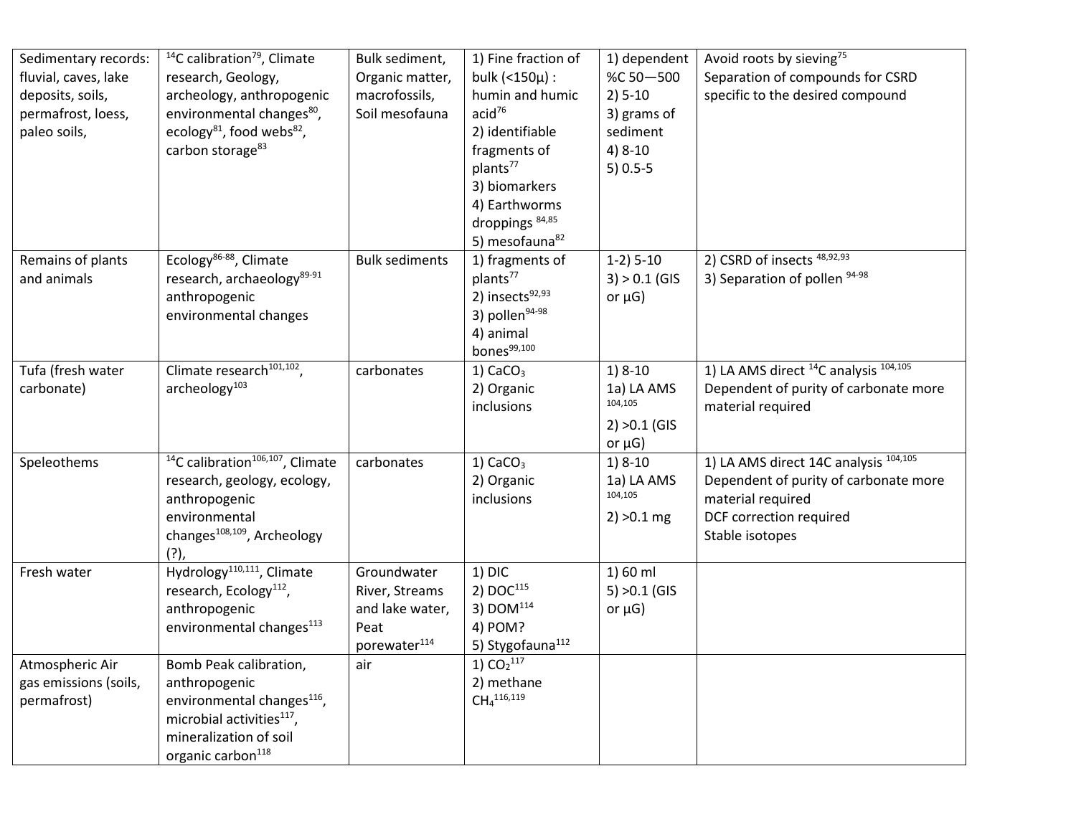| Sedimentary records:<br>fluvial, caves, lake<br>deposits, soils,<br>permafrost, loess,<br>paleo soils, | <sup>14</sup> C calibration <sup>79</sup> , Climate<br>research, Geology,<br>archeology, anthropogenic<br>environmental changes <sup>80</sup> ,<br>ecology <sup>81</sup> , food webs <sup>82</sup> ,<br>carbon storage <sup>83</sup> | Bulk sediment,<br>Organic matter,<br>macrofossils,<br>Soil mesofauna                 | 1) Fine fraction of<br>bulk $(150\mu):$<br>humin and humic<br>acid <sup>76</sup><br>2) identifiable<br>fragments of<br>plants <sup>77</sup><br>3) biomarkers<br>4) Earthworms                            | 1) dependent<br>%C 50-500<br>$2) 5-10$<br>3) grams of<br>sediment<br>$4) 8-10$<br>$5)$ 0.5-5 | Avoid roots by sieving <sup>75</sup><br>Separation of compounds for CSRD<br>specific to the desired compound                                                 |
|--------------------------------------------------------------------------------------------------------|--------------------------------------------------------------------------------------------------------------------------------------------------------------------------------------------------------------------------------------|--------------------------------------------------------------------------------------|----------------------------------------------------------------------------------------------------------------------------------------------------------------------------------------------------------|----------------------------------------------------------------------------------------------|--------------------------------------------------------------------------------------------------------------------------------------------------------------|
| Remains of plants<br>and animals                                                                       | Ecology <sup>86-88</sup> , Climate<br>research, archaeology <sup>89-91</sup><br>anthropogenic<br>environmental changes                                                                                                               | <b>Bulk sediments</b>                                                                | droppings <sup>84,85</sup><br>5) mesofauna <sup>82</sup><br>1) fragments of<br>plants <sup>77</sup><br>2) insects <sup>92,93</sup><br>3) pollen <sup>94-98</sup><br>4) animal<br>bones <sup>99,100</sup> | $1-2$ ) $5-10$<br>$3) > 0.1$ (GIS<br>or $\mu$ G)                                             | 2) CSRD of insects <sup>48,92,93</sup><br>3) Separation of pollen 94-98                                                                                      |
| Tufa (fresh water<br>carbonate)                                                                        | Climate research <sup>101,102</sup> ,<br>archeology <sup>103</sup>                                                                                                                                                                   | carbonates                                                                           | $1)$ CaCO <sub>3</sub><br>2) Organic<br>inclusions                                                                                                                                                       | $1) 8-10$<br>1a) LA AMS<br>104,105<br>$2) > 0.1$ (GIS<br>or $\mu$ G)                         | 1) LA AMS direct <sup>14</sup> C analysis <sup>104,105</sup><br>Dependent of purity of carbonate more<br>material required                                   |
| Speleothems                                                                                            | <sup>14</sup> C calibration <sup>106,107</sup> , Climate<br>research, geology, ecology,<br>anthropogenic<br>environmental<br>changes <sup>108,109</sup> , Archeology<br>$(?)$ ,                                                      | carbonates                                                                           | $1)$ CaCO <sub>3</sub><br>2) Organic<br>inclusions                                                                                                                                                       | $1) 8-10$<br>1a) LA AMS<br>104,105<br>$2) > 0.1$ mg                                          | 1) LA AMS direct 14C analysis <sup>104,105</sup><br>Dependent of purity of carbonate more<br>material required<br>DCF correction required<br>Stable isotopes |
| Fresh water                                                                                            | Hydrology <sup>110,111</sup> , Climate<br>research, Ecology <sup>112</sup> ,<br>anthropogenic<br>environmental changes <sup>113</sup>                                                                                                | Groundwater<br>River, Streams<br>and lake water,<br>Peat<br>porewater <sup>114</sup> | $1)$ DIC<br>2) $DOC^{115}$<br>3) $DOM114$<br>4) POM?<br>5) Stygofauna <sup>112</sup>                                                                                                                     | 1) 60 ml<br>$5) > 0.1$ (GIS<br>or $\mu$ G)                                                   |                                                                                                                                                              |
| Atmospheric Air<br>gas emissions (soils,<br>permafrost)                                                | Bomb Peak calibration,<br>anthropogenic<br>environmental changes <sup>116</sup> ,<br>microbial activities <sup>117</sup> ,<br>mineralization of soil<br>organic carbon <sup>118</sup>                                                | air                                                                                  | 1) $CO_2$ <sup>117</sup><br>2) methane<br>CH <sub>4</sub> <sup>116,119</sup>                                                                                                                             |                                                                                              |                                                                                                                                                              |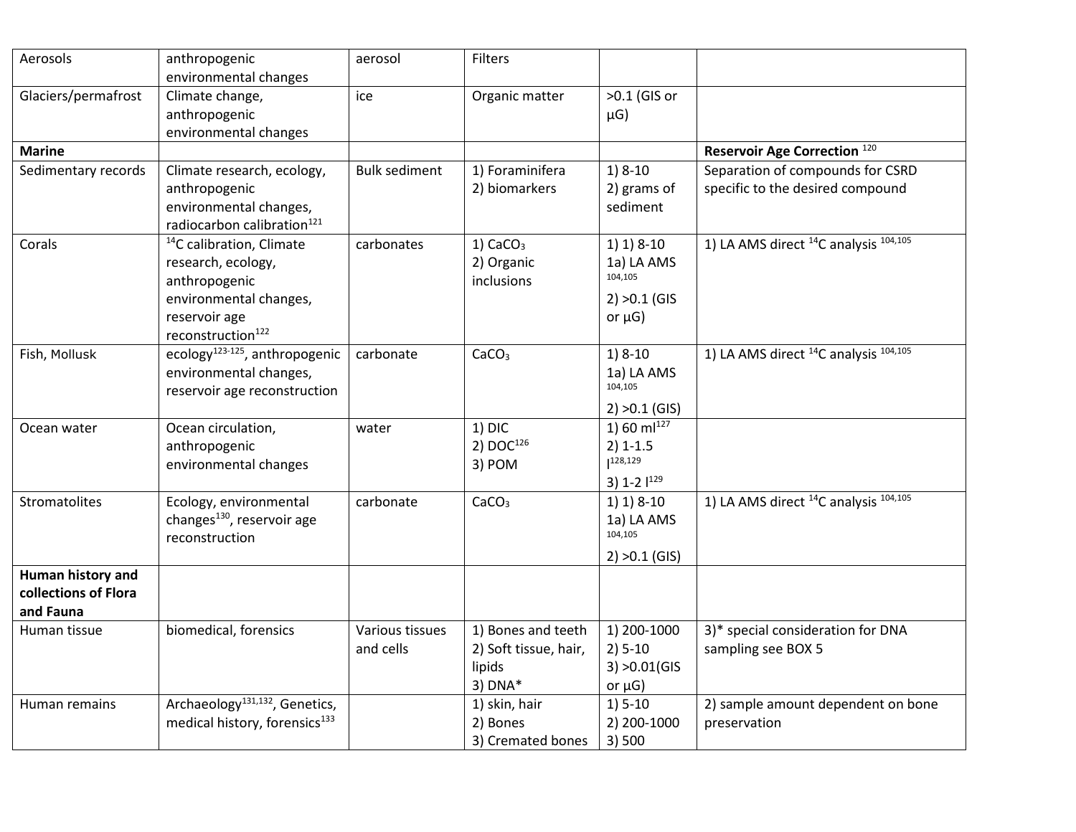| Aerosols                                               | anthropogenic<br>environmental changes                                                                                                                  | aerosol                      | Filters                                                            |                                                                         |                                                                      |
|--------------------------------------------------------|---------------------------------------------------------------------------------------------------------------------------------------------------------|------------------------------|--------------------------------------------------------------------|-------------------------------------------------------------------------|----------------------------------------------------------------------|
| Glaciers/permafrost                                    | Climate change,<br>anthropogenic<br>environmental changes                                                                                               | ice                          | Organic matter                                                     | >0.1 (GIS or<br>$\mu$ G)                                                |                                                                      |
| <b>Marine</b>                                          |                                                                                                                                                         |                              |                                                                    |                                                                         | Reservoir Age Correction <sup>120</sup>                              |
| Sedimentary records                                    | Climate research, ecology,<br>anthropogenic<br>environmental changes,<br>radiocarbon calibration <sup>121</sup>                                         | <b>Bulk sediment</b>         | 1) Foraminifera<br>2) biomarkers                                   | $1) 8-10$<br>2) grams of<br>sediment                                    | Separation of compounds for CSRD<br>specific to the desired compound |
| Corals                                                 | <sup>14</sup> C calibration, Climate<br>research, ecology,<br>anthropogenic<br>environmental changes,<br>reservoir age<br>reconstruction <sup>122</sup> | carbonates                   | $1)$ CaCO <sub>3</sub><br>2) Organic<br>inclusions                 | $1) 1) 8-10$<br>1a) LA AMS<br>104,105<br>$2) > 0.1$ (GIS<br>or $\mu$ G) | 1) LA AMS direct <sup>14</sup> C analysis <sup>104,105</sup>         |
| Fish, Mollusk                                          | ecology <sup>123-125</sup> , anthropogenic<br>environmental changes,<br>reservoir age reconstruction                                                    | carbonate                    | CaCO <sub>3</sub>                                                  | $1) 8-10$<br>1a) LA AMS<br>104,105<br>$2) > 0.1$ (GIS)                  | 1) LA AMS direct <sup>14</sup> C analysis <sup>104,105</sup>         |
| Ocean water                                            | Ocean circulation,<br>anthropogenic<br>environmental changes                                                                                            | water                        | $1)$ DIC<br>2) $DOC^{126}$<br>3) POM                               | 1) 60 $ml^{127}$<br>$2) 1 - 1.5$<br> 128,129<br>3) $1-2$ $1^{129}$      |                                                                      |
| <b>Stromatolites</b>                                   | Ecology, environmental<br>changes <sup>130</sup> , reservoir age<br>reconstruction                                                                      | carbonate                    | CaCO <sub>3</sub>                                                  | $1) 1) 8-10$<br>1a) LA AMS<br>104,105<br>$2) >0.1$ (GIS)                | 1) LA AMS direct <sup>14</sup> C analysis <sup>104,105</sup>         |
| Human history and<br>collections of Flora<br>and Fauna |                                                                                                                                                         |                              |                                                                    |                                                                         |                                                                      |
| Human tissue                                           | biomedical, forensics                                                                                                                                   | Various tissues<br>and cells | 1) Bones and teeth<br>2) Soft tissue, hair,<br>lipids<br>$3)$ DNA* | 1) 200-1000<br>$2) 5 - 10$<br>$3) > 0.01$ (GIS<br>or $\mu$ G)           | 3)* special consideration for DNA<br>sampling see BOX 5              |
| Human remains                                          | Archaeology <sup>131,132</sup> , Genetics,<br>medical history, forensics <sup>133</sup>                                                                 |                              | 1) skin, hair<br>2) Bones<br>3) Cremated bones                     | $1) 5-10$<br>2) 200-1000<br>3) 500                                      | 2) sample amount dependent on bone<br>preservation                   |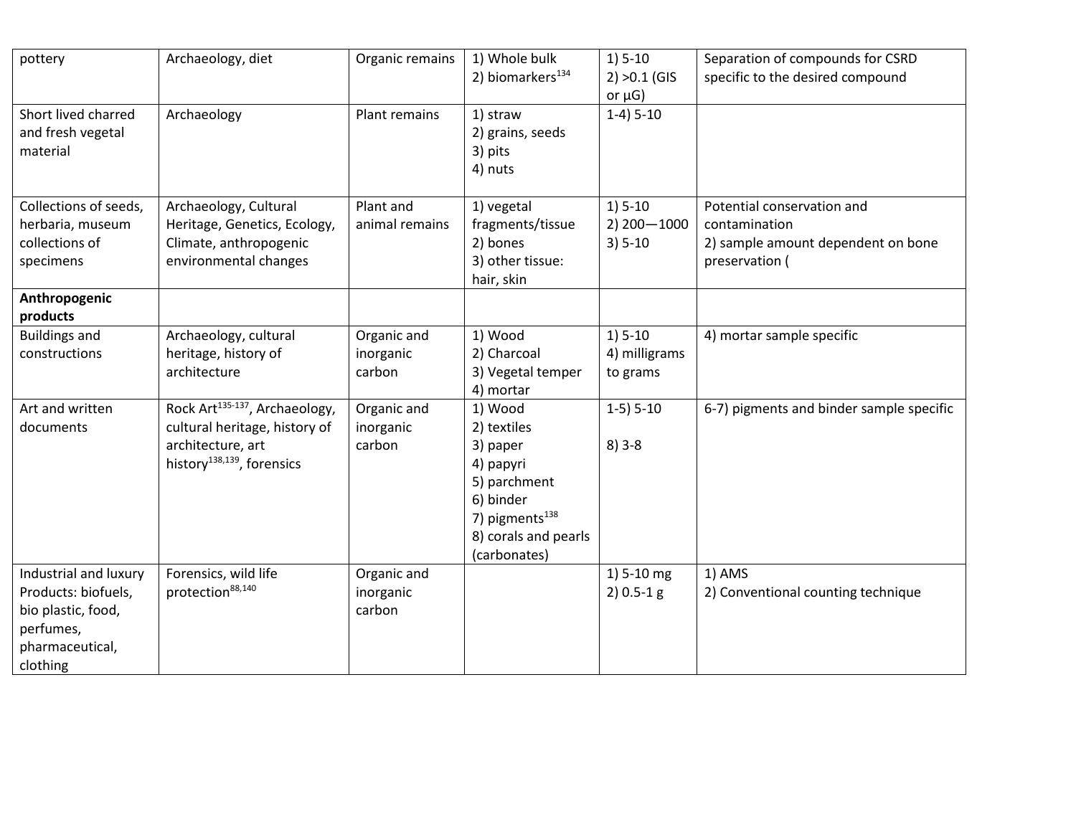| pottery                                                                                                        | Archaeology, diet                                                                                                                          | Organic remains                    | 1) Whole bulk<br>2) biomarkers <sup>134</sup>                                                                                                      | $1) 5-10$<br>$2) > 0.1$ (GIS<br>or $\mu$ G)   | Separation of compounds for CSRD<br>specific to the desired compound                                |
|----------------------------------------------------------------------------------------------------------------|--------------------------------------------------------------------------------------------------------------------------------------------|------------------------------------|----------------------------------------------------------------------------------------------------------------------------------------------------|-----------------------------------------------|-----------------------------------------------------------------------------------------------------|
| Short lived charred<br>and fresh vegetal<br>material                                                           | Archaeology                                                                                                                                | Plant remains                      | 1) straw<br>2) grains, seeds<br>3) pits<br>4) nuts                                                                                                 | $1-4$ ) $5-10$                                |                                                                                                     |
| Collections of seeds,<br>herbaria, museum<br>collections of<br>specimens                                       | Archaeology, Cultural<br>Heritage, Genetics, Ecology,<br>Climate, anthropogenic<br>environmental changes                                   | Plant and<br>animal remains        | 1) vegetal<br>fragments/tissue<br>2) bones<br>3) other tissue:<br>hair, skin                                                                       | $1) 5-10$<br>$2)$ 200 $-$ 1000<br>$3) 5 - 10$ | Potential conservation and<br>contamination<br>2) sample amount dependent on bone<br>preservation ( |
| Anthropogenic<br>products                                                                                      |                                                                                                                                            |                                    |                                                                                                                                                    |                                               |                                                                                                     |
| <b>Buildings and</b><br>constructions                                                                          | Archaeology, cultural<br>heritage, history of<br>architecture                                                                              | Organic and<br>inorganic<br>carbon | 1) Wood<br>2) Charcoal<br>3) Vegetal temper<br>4) mortar                                                                                           | $1) 5-10$<br>4) milligrams<br>to grams        | 4) mortar sample specific                                                                           |
| Art and written<br>documents                                                                                   | Rock Art <sup>135-137</sup> , Archaeology,<br>cultural heritage, history of<br>architecture, art<br>history <sup>138,139</sup> , forensics | Organic and<br>inorganic<br>carbon | 1) Wood<br>2) textiles<br>3) paper<br>4) papyri<br>5) parchment<br>6) binder<br>7) pigments <sup>138</sup><br>8) corals and pearls<br>(carbonates) | $1-5$ ) $5-10$<br>$8)3-8$                     | 6-7) pigments and binder sample specific                                                            |
| Industrial and luxury<br>Products: biofuels,<br>bio plastic, food,<br>perfumes,<br>pharmaceutical,<br>clothing | Forensics, wild life<br>protection <sup>88,140</sup>                                                                                       | Organic and<br>inorganic<br>carbon |                                                                                                                                                    | 1) 5-10 mg<br>$2) 0.5 - 1 g$                  | 1) AMS<br>2) Conventional counting technique                                                        |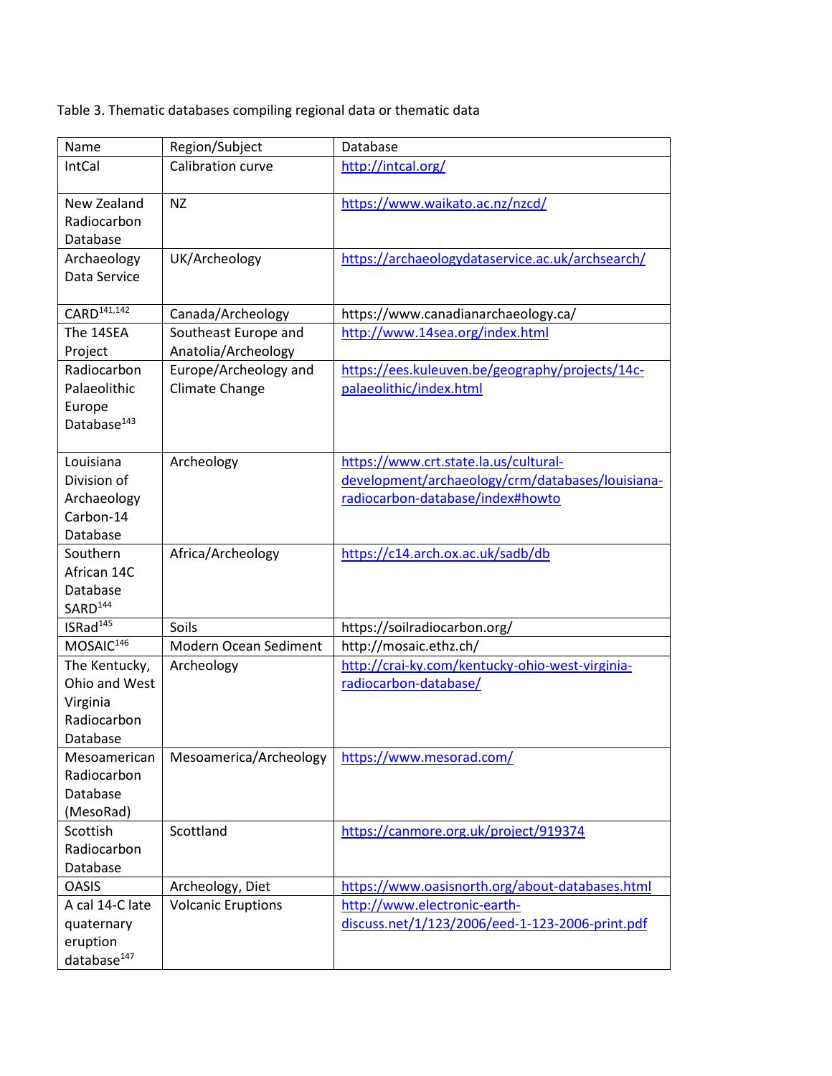Table 3. Thematic databases compiling regional data or thematic data

| Name                     | Region/Subject            | Database                                         |
|--------------------------|---------------------------|--------------------------------------------------|
| IntCal                   | Calibration curve         | http://intcal.org/                               |
| New Zealand              | <b>NZ</b>                 | https://www.waikato.ac.nz/nzcd/                  |
| Radiocarbon              |                           |                                                  |
| Database                 |                           |                                                  |
| Archaeology              | UK/Archeology             | https://archaeologydataservice.ac.uk/archsearch/ |
| Data Service             |                           |                                                  |
| CARD <sup>141,142</sup>  | Canada/Archeology         | https://www.canadianarchaeology.ca/              |
| The 14SEA                | Southeast Europe and      | http://www.14sea.org/index.html                  |
| Project                  | Anatolia/Archeology       |                                                  |
| Radiocarbon              | Europe/Archeology and     | https://ees.kuleuven.be/geography/projects/14c-  |
| Palaeolithic             | Climate Change            | palaeolithic/index.html                          |
| Europe                   |                           |                                                  |
| Database <sup>143</sup>  |                           |                                                  |
|                          |                           |                                                  |
| Louisiana                | Archeology                | https://www.crt.state.la.us/cultural-            |
| Division of              |                           | development/archaeology/crm/databases/louisiana- |
| Archaeology<br>Carbon-14 |                           | radiocarbon-database/index#howto                 |
| Database                 |                           |                                                  |
| Southern                 | Africa/Archeology         | https://c14.arch.ox.ac.uk/sadb/db                |
| African 14C              |                           |                                                  |
| Database                 |                           |                                                  |
| SARD <sup>144</sup>      |                           |                                                  |
| ISRad <sup>145</sup>     | Soils                     | https://soilradiocarbon.org/                     |
| MOSAIC <sup>146</sup>    | Modern Ocean Sediment     | http://mosaic.ethz.ch/                           |
| The Kentucky,            | Archeology                | http://crai-ky.com/kentucky-ohio-west-virginia-  |
| Ohio and West            |                           | radiocarbon-database/                            |
| Virginia                 |                           |                                                  |
| Radiocarbon<br>Database  |                           |                                                  |
| Mesoamerican             | Mesoamerica/Archeology    | https://www.mesorad.com/                         |
| Radiocarbon              |                           |                                                  |
| Database                 |                           |                                                  |
| (MesoRad)                |                           |                                                  |
| Scottish                 | Scottland                 | https://canmore.org.uk/project/919374            |
| Radiocarbon              |                           |                                                  |
| Database                 |                           |                                                  |
| <b>OASIS</b>             | Archeology, Diet          | https://www.oasisnorth.org/about-databases.html  |
| A cal 14-C late          | <b>Volcanic Eruptions</b> | http://www.electronic-earth-                     |
| quaternary               |                           | discuss.net/1/123/2006/eed-1-123-2006-print.pdf  |
| eruption                 |                           |                                                  |
| database <sup>147</sup>  |                           |                                                  |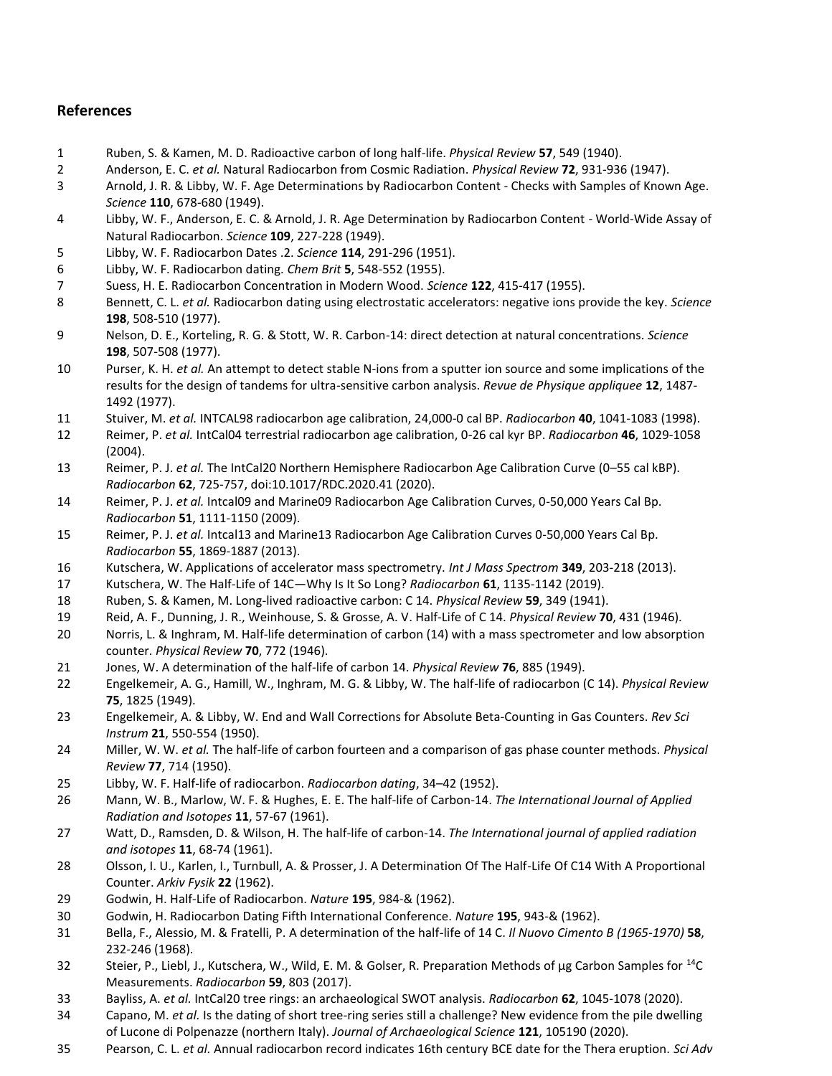## **References**

- Ruben, S. & Kamen, M. D. Radioactive carbon of long half-life. *Physical Review* **57**, 549 (1940).
- Anderson, E. C. *et al.* Natural Radiocarbon from Cosmic Radiation. *Physical Review* **72**, 931-936 (1947).
- Arnold, J. R. & Libby, W. F. Age Determinations by Radiocarbon Content Checks with Samples of Known Age. *Science* **110**, 678-680 (1949).
- Libby, W. F., Anderson, E. C. & Arnold, J. R. Age Determination by Radiocarbon Content World-Wide Assay of Natural Radiocarbon. *Science* **109**, 227-228 (1949).
- Libby, W. F. Radiocarbon Dates .2. *Science* **114**, 291-296 (1951).
- Libby, W. F. Radiocarbon dating. *Chem Brit* **5**, 548-552 (1955).
- Suess, H. E. Radiocarbon Concentration in Modern Wood. *Science* **122**, 415-417 (1955).
- Bennett, C. L. *et al.* Radiocarbon dating using electrostatic accelerators: negative ions provide the key. *Science* , 508-510 (1977).
- Nelson, D. E., Korteling, R. G. & Stott, W. R. Carbon-14: direct detection at natural concentrations. *Science* , 507-508 (1977).
- Purser, K. H. *et al.* An attempt to detect stable N-ions from a sputter ion source and some implications of the results for the design of tandems for ultra-sensitive carbon analysis. *Revue de Physique appliquee* **12**, 1487- 1492 (1977).
- Stuiver, M. *et al.* INTCAL98 radiocarbon age calibration, 24,000-0 cal BP. *Radiocarbon* **40**, 1041-1083 (1998).
- Reimer, P. *et al.* IntCal04 terrestrial radiocarbon age calibration, 0-26 cal kyr BP. *Radiocarbon* **46**, 1029-1058 (2004).
- Reimer, P. J. *et al.* The IntCal20 Northern Hemisphere Radiocarbon Age Calibration Curve (0–55 cal kBP). *Radiocarbon* **62**, 725-757, doi:10.1017/RDC.2020.41 (2020).
- Reimer, P. J. *et al.* Intcal09 and Marine09 Radiocarbon Age Calibration Curves, 0-50,000 Years Cal Bp. *Radiocarbon* **51**, 1111-1150 (2009).
- Reimer, P. J. *et al.* Intcal13 and Marine13 Radiocarbon Age Calibration Curves 0-50,000 Years Cal Bp. *Radiocarbon* **55**, 1869-1887 (2013).
- Kutschera, W. Applications of accelerator mass spectrometry. *Int J Mass Spectrom* **349**, 203-218 (2013).
- Kutschera, W. The Half-Life of 14C—Why Is It So Long? *Radiocarbon* **61**, 1135-1142 (2019).
- Ruben, S. & Kamen, M. Long-lived radioactive carbon: C 14. *Physical Review* **59**, 349 (1941).
- Reid, A. F., Dunning, J. R., Weinhouse, S. & Grosse, A. V. Half-Life of C 14. *Physical Review* **70**, 431 (1946).
- Norris, L. & Inghram, M. Half-life determination of carbon (14) with a mass spectrometer and low absorption counter. *Physical Review* **70**, 772 (1946).
- Jones, W. A determination of the half-life of carbon 14. *Physical Review* **76**, 885 (1949).
- Engelkemeir, A. G., Hamill, W., Inghram, M. G. & Libby, W. The half-life of radiocarbon (C 14). *Physical Review* , 1825 (1949).
- Engelkemeir, A. & Libby, W. End and Wall Corrections for Absolute Beta‐Counting in Gas Counters. *Rev Sci Instrum* **21**, 550-554 (1950).
- Miller, W. W. *et al.* The half-life of carbon fourteen and a comparison of gas phase counter methods. *Physical Review* **77**, 714 (1950).
- Libby, W. F. Half-life of radiocarbon. *Radiocarbon dating*, 34–42 (1952).
- Mann, W. B., Marlow, W. F. & Hughes, E. E. The half-life of Carbon-14. *The International Journal of Applied Radiation and Isotopes* **11**, 57-67 (1961).
- Watt, D., Ramsden, D. & Wilson, H. The half-life of carbon-14. *The International journal of applied radiation and isotopes* **11**, 68-74 (1961).
- Olsson, I. U., Karlen, I., Turnbull, A. & Prosser, J. A Determination Of The Half-Life Of C14 With A Proportional Counter. *Arkiv Fysik* **22** (1962).
- Godwin, H. Half-Life of Radiocarbon. *Nature* **195**, 984-& (1962).
- Godwin, H. Radiocarbon Dating Fifth International Conference. *Nature* **195**, 943-& (1962).
- Bella, F., Alessio, M. & Fratelli, P. A determination of the half-life of 14 C. *Il Nuovo Cimento B (1965-1970)* **58**, 232-246 (1968).
- 32 Steier, P., Liebl, J., Kutschera, W., Wild, E. M. & Golser, R. Preparation Methods of µg Carbon Samples for <sup>14</sup>C Measurements. *Radiocarbon* **59**, 803 (2017).
- Bayliss, A. *et al.* IntCal20 tree rings: an archaeological SWOT analysis. *Radiocarbon* **62**, 1045-1078 (2020).
- Capano, M. *et al.* Is the dating of short tree-ring series still a challenge? New evidence from the pile dwelling of Lucone di Polpenazze (northern Italy). *Journal of Archaeological Science* **121**, 105190 (2020).
- Pearson, C. L. *et al.* Annual radiocarbon record indicates 16th century BCE date for the Thera eruption. *Sci Adv*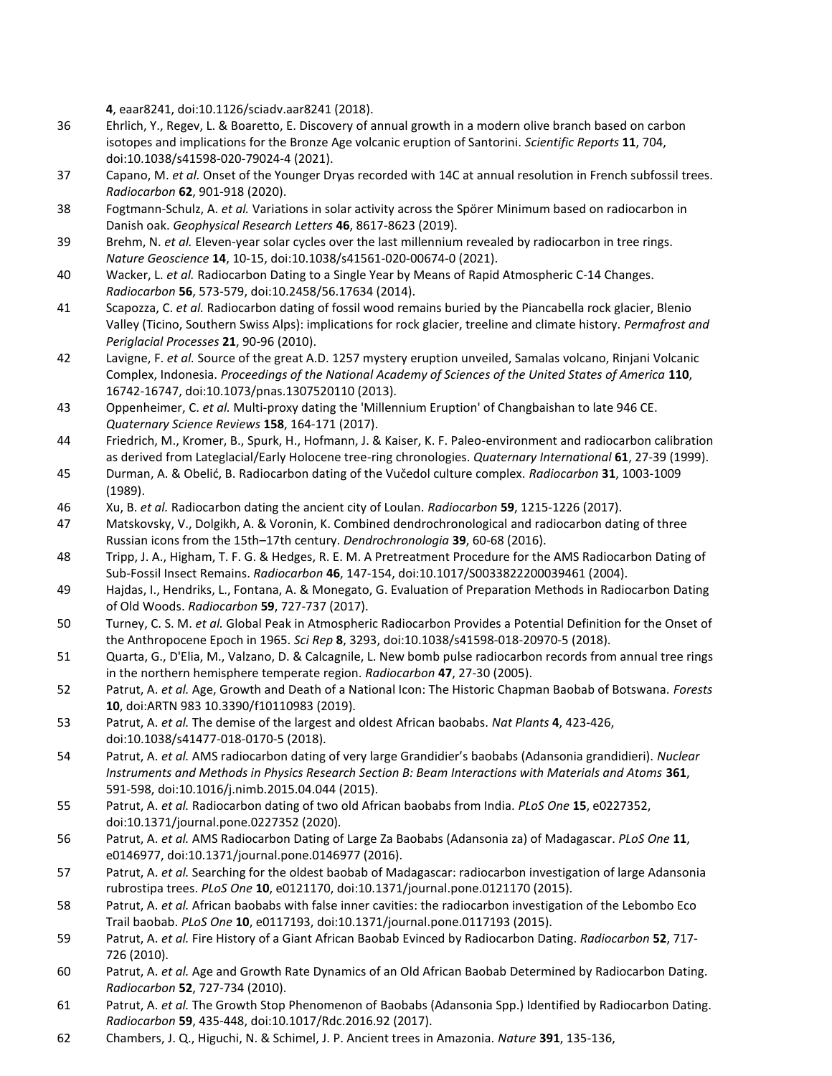**4**, eaar8241, doi:10.1126/sciadv.aar8241 (2018).

- 36 Ehrlich, Y., Regev, L. & Boaretto, E. Discovery of annual growth in a modern olive branch based on carbon isotopes and implications for the Bronze Age volcanic eruption of Santorini. *Scientific Reports* **11**, 704, doi:10.1038/s41598-020-79024-4 (2021).
- 37 Capano, M. *et al.* Onset of the Younger Dryas recorded with 14C at annual resolution in French subfossil trees. *Radiocarbon* **62**, 901-918 (2020).
- 38 Fogtmann‐Schulz, A. *et al.* Variations in solar activity across the Spörer Minimum based on radiocarbon in Danish oak. *Geophysical Research Letters* **46**, 8617-8623 (2019).
- 39 Brehm, N. *et al.* Eleven-year solar cycles over the last millennium revealed by radiocarbon in tree rings. *Nature Geoscience* **14**, 10-15, doi:10.1038/s41561-020-00674-0 (2021).
- 40 Wacker, L. *et al.* Radiocarbon Dating to a Single Year by Means of Rapid Atmospheric C-14 Changes. *Radiocarbon* **56**, 573-579, doi:10.2458/56.17634 (2014).
- 41 Scapozza, C. *et al.* Radiocarbon dating of fossil wood remains buried by the Piancabella rock glacier, Blenio Valley (Ticino, Southern Swiss Alps): implications for rock glacier, treeline and climate history. *Permafrost and Periglacial Processes* **21**, 90-96 (2010).
- 42 Lavigne, F. *et al.* Source of the great A.D. 1257 mystery eruption unveiled, Samalas volcano, Rinjani Volcanic Complex, Indonesia. *Proceedings of the National Academy of Sciences of the United States of America* **110**, 16742-16747, doi:10.1073/pnas.1307520110 (2013).
- 43 Oppenheimer, C. *et al.* Multi-proxy dating the 'Millennium Eruption' of Changbaishan to late 946 CE. *Quaternary Science Reviews* **158**, 164-171 (2017).
- 44 Friedrich, M., Kromer, B., Spurk, H., Hofmann, J. & Kaiser, K. F. Paleo-environment and radiocarbon calibration as derived from Lateglacial/Early Holocene tree-ring chronologies. *Quaternary International* **61**, 27-39 (1999).
- 45 Durman, A. & Obelić, B. Radiocarbon dating of the Vučedol culture complex. *Radiocarbon* **31**, 1003-1009 (1989).
- 46 Xu, B. *et al.* Radiocarbon dating the ancient city of Loulan. *Radiocarbon* **59**, 1215-1226 (2017).
- 47 Matskovsky, V., Dolgikh, A. & Voronin, K. Combined dendrochronological and radiocarbon dating of three Russian icons from the 15th–17th century. *Dendrochronologia* **39**, 60-68 (2016).
- 48 Tripp, J. A., Higham, T. F. G. & Hedges, R. E. M. A Pretreatment Procedure for the AMS Radiocarbon Dating of Sub-Fossil Insect Remains. *Radiocarbon* **46**, 147-154, doi:10.1017/S0033822200039461 (2004).
- 49 Hajdas, I., Hendriks, L., Fontana, A. & Monegato, G. Evaluation of Preparation Methods in Radiocarbon Dating of Old Woods. *Radiocarbon* **59**, 727-737 (2017).
- 50 Turney, C. S. M. *et al.* Global Peak in Atmospheric Radiocarbon Provides a Potential Definition for the Onset of the Anthropocene Epoch in 1965. *Sci Rep* **8**, 3293, doi:10.1038/s41598-018-20970-5 (2018).
- 51 Quarta, G., D'Elia, M., Valzano, D. & Calcagnile, L. New bomb pulse radiocarbon records from annual tree rings in the northern hemisphere temperate region. *Radiocarbon* **47**, 27-30 (2005).
- 52 Patrut, A. *et al.* Age, Growth and Death of a National Icon: The Historic Chapman Baobab of Botswana. *Forests* **10**, doi:ARTN 983 10.3390/f10110983 (2019).
- 53 Patrut, A. *et al.* The demise of the largest and oldest African baobabs. *Nat Plants* **4**, 423-426, doi:10.1038/s41477-018-0170-5 (2018).
- 54 Patrut, A. *et al.* AMS radiocarbon dating of very large Grandidier's baobabs (Adansonia grandidieri). *Nuclear Instruments and Methods in Physics Research Section B: Beam Interactions with Materials and Atoms* **361**, 591-598, doi:10.1016/j.nimb.2015.04.044 (2015).
- 55 Patrut, A. *et al.* Radiocarbon dating of two old African baobabs from India. *PLoS One* **15**, e0227352, doi:10.1371/journal.pone.0227352 (2020).
- 56 Patrut, A. *et al.* AMS Radiocarbon Dating of Large Za Baobabs (Adansonia za) of Madagascar. *PLoS One* **11**, e0146977, doi:10.1371/journal.pone.0146977 (2016).
- 57 Patrut, A. *et al.* Searching for the oldest baobab of Madagascar: radiocarbon investigation of large Adansonia rubrostipa trees. *PLoS One* **10**, e0121170, doi:10.1371/journal.pone.0121170 (2015).
- 58 Patrut, A. *et al.* African baobabs with false inner cavities: the radiocarbon investigation of the Lebombo Eco Trail baobab. *PLoS One* **10**, e0117193, doi:10.1371/journal.pone.0117193 (2015).
- 59 Patrut, A. *et al.* Fire History of a Giant African Baobab Evinced by Radiocarbon Dating. *Radiocarbon* **52**, 717- 726 (2010).
- 60 Patrut, A. *et al.* Age and Growth Rate Dynamics of an Old African Baobab Determined by Radiocarbon Dating. *Radiocarbon* **52**, 727-734 (2010).
- 61 Patrut, A. *et al.* The Growth Stop Phenomenon of Baobabs (Adansonia Spp.) Identified by Radiocarbon Dating. *Radiocarbon* **59**, 435-448, doi:10.1017/Rdc.2016.92 (2017).
- 62 Chambers, J. Q., Higuchi, N. & Schimel, J. P. Ancient trees in Amazonia. *Nature* **391**, 135-136,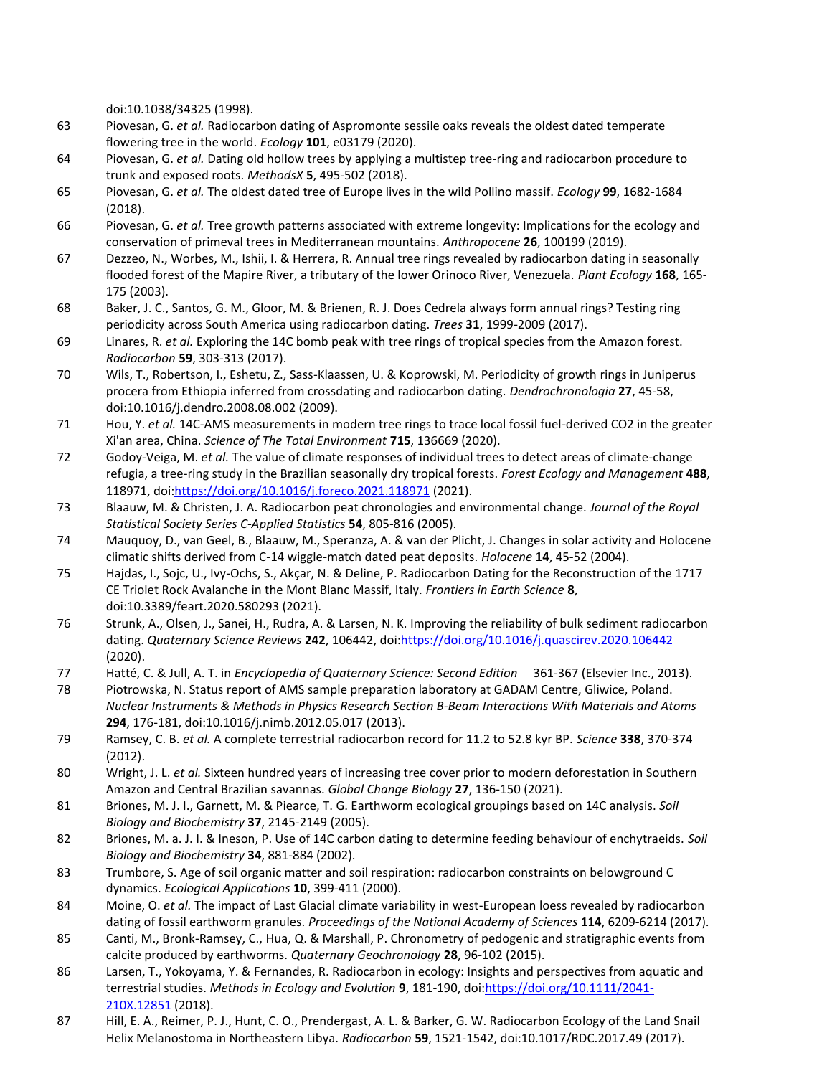doi:10.1038/34325 (1998).

- 63 Piovesan, G. *et al.* Radiocarbon dating of Aspromonte sessile oaks reveals the oldest dated temperate flowering tree in the world. *Ecology* **101**, e03179 (2020).
- 64 Piovesan, G. *et al.* Dating old hollow trees by applying a multistep tree-ring and radiocarbon procedure to trunk and exposed roots. *MethodsX* **5**, 495-502 (2018).
- 65 Piovesan, G. *et al.* The oldest dated tree of Europe lives in the wild Pollino massif. *Ecology* **99**, 1682-1684 (2018).
- 66 Piovesan, G. *et al.* Tree growth patterns associated with extreme longevity: Implications for the ecology and conservation of primeval trees in Mediterranean mountains. *Anthropocene* **26**, 100199 (2019).
- 67 Dezzeo, N., Worbes, M., Ishii, I. & Herrera, R. Annual tree rings revealed by radiocarbon dating in seasonally flooded forest of the Mapire River, a tributary of the lower Orinoco River, Venezuela. *Plant Ecology* **168**, 165- 175 (2003).
- 68 Baker, J. C., Santos, G. M., Gloor, M. & Brienen, R. J. Does Cedrela always form annual rings? Testing ring periodicity across South America using radiocarbon dating. *Trees* **31**, 1999-2009 (2017).
- 69 Linares, R. *et al.* Exploring the 14C bomb peak with tree rings of tropical species from the Amazon forest. *Radiocarbon* **59**, 303-313 (2017).
- 70 Wils, T., Robertson, I., Eshetu, Z., Sass-Klaassen, U. & Koprowski, M. Periodicity of growth rings in Juniperus procera from Ethiopia inferred from crossdating and radiocarbon dating. *Dendrochronologia* **27**, 45-58, doi:10.1016/j.dendro.2008.08.002 (2009).
- 71 Hou, Y. *et al.* 14C-AMS measurements in modern tree rings to trace local fossil fuel-derived CO2 in the greater Xi'an area, China. *Science of The Total Environment* **715**, 136669 (2020).
- 72 Godoy-Veiga, M. *et al.* The value of climate responses of individual trees to detect areas of climate-change refugia, a tree-ring study in the Brazilian seasonally dry tropical forests. *Forest Ecology and Management* **488**, 118971, doi[:https://doi.org/10.1016/j.foreco.2021.118971](https://doi.org/10.1016/j.foreco.2021.118971) (2021).
- 73 Blaauw, M. & Christen, J. A. Radiocarbon peat chronologies and environmental change. *Journal of the Royal Statistical Society Series C-Applied Statistics* **54**, 805-816 (2005).
- 74 Mauquoy, D., van Geel, B., Blaauw, M., Speranza, A. & van der Plicht, J. Changes in solar activity and Holocene climatic shifts derived from C-14 wiggle-match dated peat deposits. *Holocene* **14**, 45-52 (2004).
- 75 Hajdas, I., Sojc, U., Ivy-Ochs, S., Akçar, N. & Deline, P. Radiocarbon Dating for the Reconstruction of the 1717 CE Triolet Rock Avalanche in the Mont Blanc Massif, Italy. *Frontiers in Earth Science* **8**, doi:10.3389/feart.2020.580293 (2021).
- 76 Strunk, A., Olsen, J., Sanei, H., Rudra, A. & Larsen, N. K. Improving the reliability of bulk sediment radiocarbon dating. *Quaternary Science Reviews* **242**, 106442, doi[:https://doi.org/10.1016/j.quascirev.2020.106442](https://doi.org/10.1016/j.quascirev.2020.106442) (2020).
- 77 Hatté, C. & Jull, A. T. in *Encyclopedia of Quaternary Science: Second Edition* 361-367 (Elsevier Inc., 2013).
- 78 Piotrowska, N. Status report of AMS sample preparation laboratory at GADAM Centre, Gliwice, Poland. *Nuclear Instruments & Methods in Physics Research Section B-Beam Interactions With Materials and Atoms* **294**, 176-181, doi:10.1016/j.nimb.2012.05.017 (2013).
- 79 Ramsey, C. B. *et al.* A complete terrestrial radiocarbon record for 11.2 to 52.8 kyr BP. *Science* **338**, 370-374 (2012).
- 80 Wright, J. L. *et al.* Sixteen hundred years of increasing tree cover prior to modern deforestation in Southern Amazon and Central Brazilian savannas. *Global Change Biology* **27**, 136-150 (2021).
- 81 Briones, M. J. I., Garnett, M. & Piearce, T. G. Earthworm ecological groupings based on 14C analysis. *Soil Biology and Biochemistry* **37**, 2145-2149 (2005).
- 82 Briones, M. a. J. I. & Ineson, P. Use of 14C carbon dating to determine feeding behaviour of enchytraeids. *Soil Biology and Biochemistry* **34**, 881-884 (2002).
- 83 Trumbore, S. Age of soil organic matter and soil respiration: radiocarbon constraints on belowground C dynamics. *Ecological Applications* **10**, 399-411 (2000).
- 84 Moine, O. *et al.* The impact of Last Glacial climate variability in west-European loess revealed by radiocarbon dating of fossil earthworm granules. *Proceedings of the National Academy of Sciences* **114**, 6209-6214 (2017).
- 85 Canti, M., Bronk-Ramsey, C., Hua, Q. & Marshall, P. Chronometry of pedogenic and stratigraphic events from calcite produced by earthworms. *Quaternary Geochronology* **28**, 96-102 (2015).
- 86 Larsen, T., Yokoyama, Y. & Fernandes, R. Radiocarbon in ecology: Insights and perspectives from aquatic and terrestrial studies. *Methods in Ecology and Evolution* **9**, 181-190, doi[:https://doi.org/10.1111/2041-](https://doi.org/10.1111/2041-210X.12851) [210X.12851](https://doi.org/10.1111/2041-210X.12851) (2018).
- 87 Hill, E. A., Reimer, P. J., Hunt, C. O., Prendergast, A. L. & Barker, G. W. Radiocarbon Ecology of the Land Snail Helix Melanostoma in Northeastern Libya. *Radiocarbon* **59**, 1521-1542, doi:10.1017/RDC.2017.49 (2017).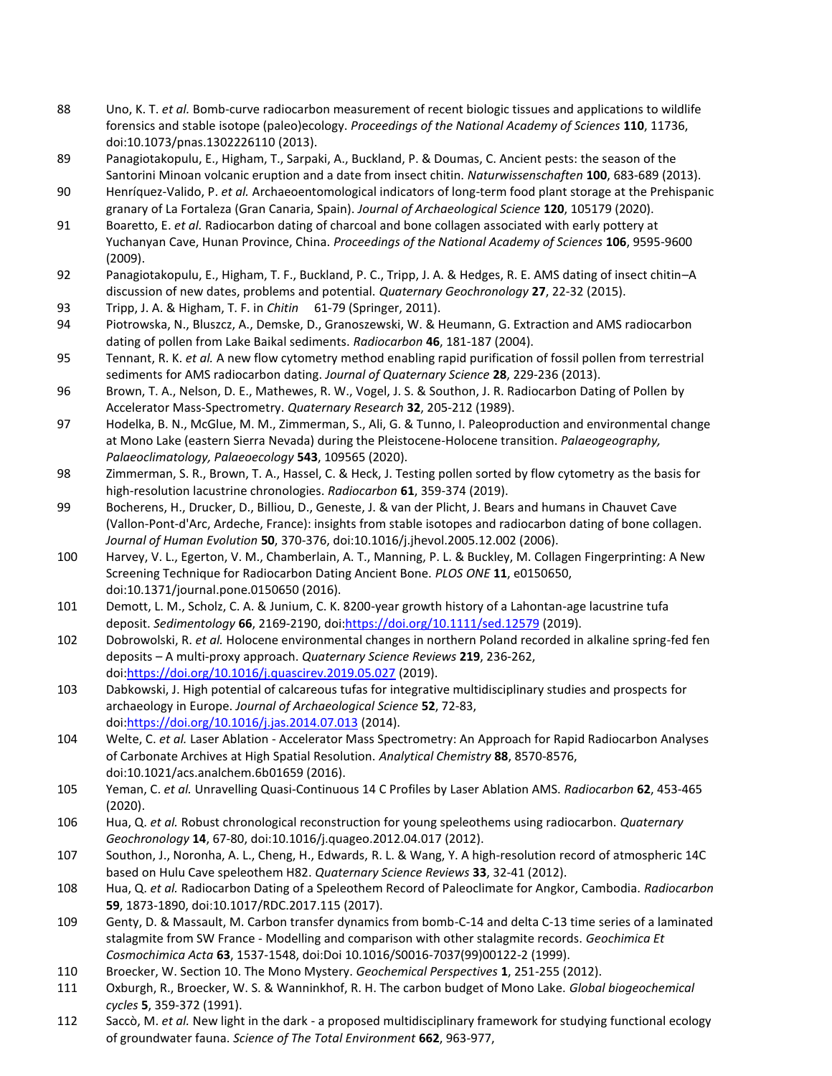- 88 Uno, K. T. *et al.* Bomb-curve radiocarbon measurement of recent biologic tissues and applications to wildlife forensics and stable isotope (paleo)ecology. *Proceedings of the National Academy of Sciences* **110**, 11736, doi:10.1073/pnas.1302226110 (2013).
- 89 Panagiotakopulu, E., Higham, T., Sarpaki, A., Buckland, P. & Doumas, C. Ancient pests: the season of the Santorini Minoan volcanic eruption and a date from insect chitin. *Naturwissenschaften* **100**, 683-689 (2013).
- 90 Henríquez-Valido, P. *et al.* Archaeoentomological indicators of long-term food plant storage at the Prehispanic granary of La Fortaleza (Gran Canaria, Spain). *Journal of Archaeological Science* **120**, 105179 (2020).
- 91 Boaretto, E. *et al.* Radiocarbon dating of charcoal and bone collagen associated with early pottery at Yuchanyan Cave, Hunan Province, China. *Proceedings of the National Academy of Sciences* **106**, 9595-9600 (2009).
- 92 Panagiotakopulu, E., Higham, T. F., Buckland, P. C., Tripp, J. A. & Hedges, R. E. AMS dating of insect chitin–A discussion of new dates, problems and potential. *Quaternary Geochronology* **27**, 22-32 (2015).
- 93 Tripp, J. A. & Higham, T. F. in *Chitin* 61-79 (Springer, 2011).
- 94 Piotrowska, N., Bluszcz, A., Demske, D., Granoszewski, W. & Heumann, G. Extraction and AMS radiocarbon dating of pollen from Lake Baikal sediments. *Radiocarbon* **46**, 181-187 (2004).
- 95 Tennant, R. K. *et al.* A new flow cytometry method enabling rapid purification of fossil pollen from terrestrial sediments for AMS radiocarbon dating. *Journal of Quaternary Science* **28**, 229-236 (2013).
- 96 Brown, T. A., Nelson, D. E., Mathewes, R. W., Vogel, J. S. & Southon, J. R. Radiocarbon Dating of Pollen by Accelerator Mass-Spectrometry. *Quaternary Research* **32**, 205-212 (1989).
- 97 Hodelka, B. N., McGlue, M. M., Zimmerman, S., Ali, G. & Tunno, I. Paleoproduction and environmental change at Mono Lake (eastern Sierra Nevada) during the Pleistocene-Holocene transition. *Palaeogeography, Palaeoclimatology, Palaeoecology* **543**, 109565 (2020).
- 98 Zimmerman, S. R., Brown, T. A., Hassel, C. & Heck, J. Testing pollen sorted by flow cytometry as the basis for high-resolution lacustrine chronologies. *Radiocarbon* **61**, 359-374 (2019).
- 99 Bocherens, H., Drucker, D., Billiou, D., Geneste, J. & van der Plicht, J. Bears and humans in Chauvet Cave (Vallon-Pont-d'Arc, Ardeche, France): insights from stable isotopes and radiocarbon dating of bone collagen. *Journal of Human Evolution* **50**, 370-376, doi:10.1016/j.jhevol.2005.12.002 (2006).
- 100 Harvey, V. L., Egerton, V. M., Chamberlain, A. T., Manning, P. L. & Buckley, M. Collagen Fingerprinting: A New Screening Technique for Radiocarbon Dating Ancient Bone. *PLOS ONE* **11**, e0150650, doi:10.1371/journal.pone.0150650 (2016).
- 101 Demott, L. M., Scholz, C. A. & Junium, C. K. 8200-year growth history of a Lahontan-age lacustrine tufa deposit. *Sedimentology* **66**, 2169-2190, doi[:https://doi.org/10.1111/sed.12579](https://doi.org/10.1111/sed.12579) (2019).
- 102 Dobrowolski, R. *et al.* Holocene environmental changes in northern Poland recorded in alkaline spring-fed fen deposits – A multi-proxy approach. *Quaternary Science Reviews* **219**, 236-262, doi[:https://doi.org/10.1016/j.quascirev.2019.05.027](https://doi.org/10.1016/j.quascirev.2019.05.027) (2019).
- 103 Dabkowski, J. High potential of calcareous tufas for integrative multidisciplinary studies and prospects for archaeology in Europe. *Journal of Archaeological Science* **52**, 72-83, doi[:https://doi.org/10.1016/j.jas.2014.07.013](https://doi.org/10.1016/j.jas.2014.07.013) (2014).
- 104 Welte, C. *et al.* Laser Ablation Accelerator Mass Spectrometry: An Approach for Rapid Radiocarbon Analyses of Carbonate Archives at High Spatial Resolution. *Analytical Chemistry* **88**, 8570-8576, doi:10.1021/acs.analchem.6b01659 (2016).
- 105 Yeman, C. *et al.* Unravelling Quasi-Continuous 14 C Profiles by Laser Ablation AMS. *Radiocarbon* **62**, 453-465 (2020).
- 106 Hua, Q. *et al.* Robust chronological reconstruction for young speleothems using radiocarbon. *Quaternary Geochronology* **14**, 67-80, doi:10.1016/j.quageo.2012.04.017 (2012).
- 107 Southon, J., Noronha, A. L., Cheng, H., Edwards, R. L. & Wang, Y. A high-resolution record of atmospheric 14C based on Hulu Cave speleothem H82. *Quaternary Science Reviews* **33**, 32-41 (2012).
- 108 Hua, Q. *et al.* Radiocarbon Dating of a Speleothem Record of Paleoclimate for Angkor, Cambodia. *Radiocarbon* **59**, 1873-1890, doi:10.1017/RDC.2017.115 (2017).
- 109 Genty, D. & Massault, M. Carbon transfer dynamics from bomb-C-14 and delta C-13 time series of a laminated stalagmite from SW France - Modelling and comparison with other stalagmite records. *Geochimica Et Cosmochimica Acta* **63**, 1537-1548, doi:Doi 10.1016/S0016-7037(99)00122-2 (1999).
- 110 Broecker, W. Section 10. The Mono Mystery. *Geochemical Perspectives* **1**, 251-255 (2012).
- 111 Oxburgh, R., Broecker, W. S. & Wanninkhof, R. H. The carbon budget of Mono Lake. *Global biogeochemical cycles* **5**, 359-372 (1991).
- 112 Saccò, M. *et al.* New light in the dark a proposed multidisciplinary framework for studying functional ecology of groundwater fauna. *Science of The Total Environment* **662**, 963-977,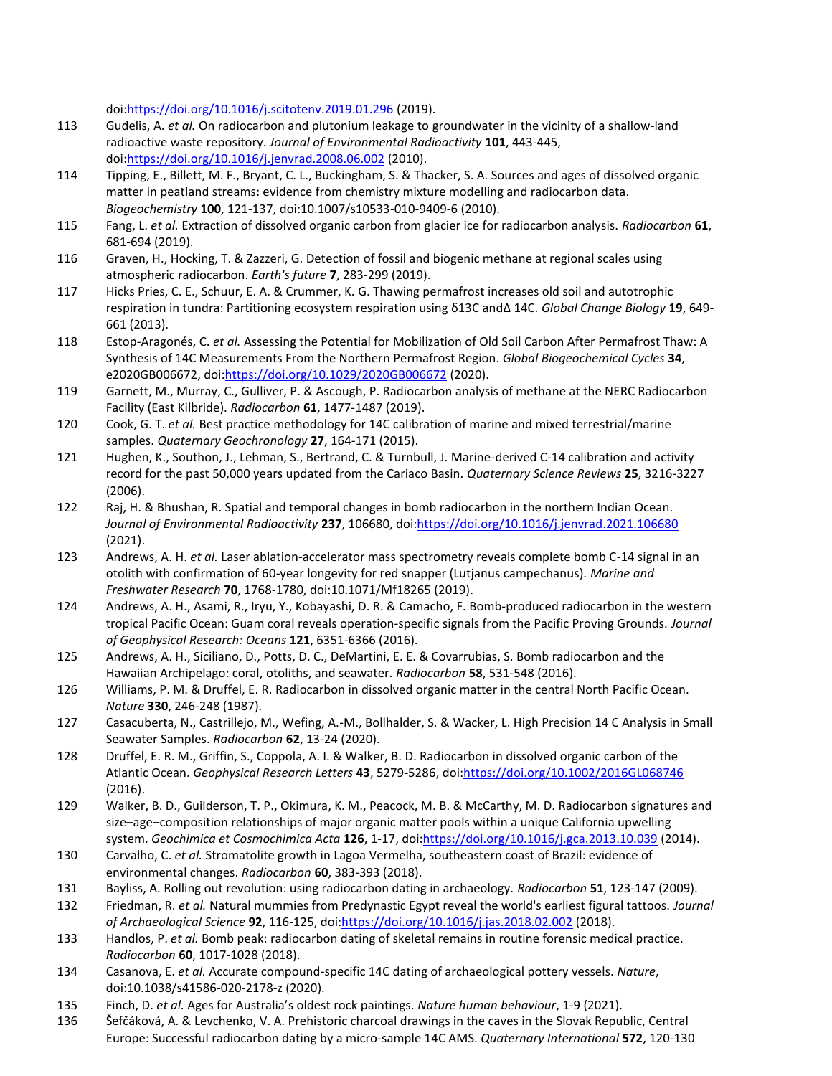doi[:https://doi.org/10.1016/j.scitotenv.2019.01.296](https://doi.org/10.1016/j.scitotenv.2019.01.296) (2019).

- 113 Gudelis, A. *et al.* On radiocarbon and plutonium leakage to groundwater in the vicinity of a shallow-land radioactive waste repository. *Journal of Environmental Radioactivity* **101**, 443-445, doi[:https://doi.org/10.1016/j.jenvrad.2008.06.002](https://doi.org/10.1016/j.jenvrad.2008.06.002) (2010).
- 114 Tipping, E., Billett, M. F., Bryant, C. L., Buckingham, S. & Thacker, S. A. Sources and ages of dissolved organic matter in peatland streams: evidence from chemistry mixture modelling and radiocarbon data. *Biogeochemistry* **100**, 121-137, doi:10.1007/s10533-010-9409-6 (2010).
- 115 Fang, L. *et al.* Extraction of dissolved organic carbon from glacier ice for radiocarbon analysis. *Radiocarbon* **61**, 681-694 (2019).
- 116 Graven, H., Hocking, T. & Zazzeri, G. Detection of fossil and biogenic methane at regional scales using atmospheric radiocarbon. *Earth's future* **7**, 283-299 (2019).
- 117 Hicks Pries, C. E., Schuur, E. A. & Crummer, K. G. Thawing permafrost increases old soil and autotrophic respiration in tundra: Partitioning ecosystem respiration using δ13C and∆ 14C. *Global Change Biology* **19**, 649- 661 (2013).
- 118 Estop-Aragonés, C. *et al.* Assessing the Potential for Mobilization of Old Soil Carbon After Permafrost Thaw: A Synthesis of 14C Measurements From the Northern Permafrost Region. *Global Biogeochemical Cycles* **34**, e2020GB006672, doi[:https://doi.org/10.1029/2020GB006672](https://doi.org/10.1029/2020GB006672) (2020).
- 119 Garnett, M., Murray, C., Gulliver, P. & Ascough, P. Radiocarbon analysis of methane at the NERC Radiocarbon Facility (East Kilbride). *Radiocarbon* **61**, 1477-1487 (2019).
- 120 Cook, G. T. *et al.* Best practice methodology for 14C calibration of marine and mixed terrestrial/marine samples. *Quaternary Geochronology* **27**, 164-171 (2015).
- 121 Hughen, K., Southon, J., Lehman, S., Bertrand, C. & Turnbull, J. Marine-derived C-14 calibration and activity record for the past 50,000 years updated from the Cariaco Basin. *Quaternary Science Reviews* **25**, 3216-3227 (2006).
- 122 Raj, H. & Bhushan, R. Spatial and temporal changes in bomb radiocarbon in the northern Indian Ocean. *Journal of Environmental Radioactivity* **237**, 106680, doi[:https://doi.org/10.1016/j.jenvrad.2021.106680](https://doi.org/10.1016/j.jenvrad.2021.106680) (2021).
- 123 Andrews, A. H. *et al.* Laser ablation-accelerator mass spectrometry reveals complete bomb C-14 signal in an otolith with confirmation of 60-year longevity for red snapper (Lutjanus campechanus). *Marine and Freshwater Research* **70**, 1768-1780, doi:10.1071/Mf18265 (2019).
- 124 Andrews, A. H., Asami, R., Iryu, Y., Kobayashi, D. R. & Camacho, F. Bomb‐produced radiocarbon in the western tropical Pacific Ocean: Guam coral reveals operation‐specific signals from the Pacific Proving Grounds. *Journal of Geophysical Research: Oceans* **121**, 6351-6366 (2016).
- 125 Andrews, A. H., Siciliano, D., Potts, D. C., DeMartini, E. E. & Covarrubias, S. Bomb radiocarbon and the Hawaiian Archipelago: coral, otoliths, and seawater. *Radiocarbon* **58**, 531-548 (2016).
- 126 Williams, P. M. & Druffel, E. R. Radiocarbon in dissolved organic matter in the central North Pacific Ocean. *Nature* **330**, 246-248 (1987).
- 127 Casacuberta, N., Castrillejo, M., Wefing, A.-M., Bollhalder, S. & Wacker, L. High Precision 14 C Analysis in Small Seawater Samples. *Radiocarbon* **62**, 13-24 (2020).
- 128 Druffel, E. R. M., Griffin, S., Coppola, A. I. & Walker, B. D. Radiocarbon in dissolved organic carbon of the Atlantic Ocean. *Geophysical Research Letters* **43**, 5279-5286, doi[:https://doi.org/10.1002/2016GL068746](https://doi.org/10.1002/2016GL068746) (2016).
- 129 Walker, B. D., Guilderson, T. P., Okimura, K. M., Peacock, M. B. & McCarthy, M. D. Radiocarbon signatures and size–age–composition relationships of major organic matter pools within a unique California upwelling system. *Geochimica et Cosmochimica Acta* **126**, 1-17, doi[:https://doi.org/10.1016/j.gca.2013.10.039](https://doi.org/10.1016/j.gca.2013.10.039) (2014).
- 130 Carvalho, C. *et al.* Stromatolite growth in Lagoa Vermelha, southeastern coast of Brazil: evidence of environmental changes. *Radiocarbon* **60**, 383-393 (2018).
- 131 Bayliss, A. Rolling out revolution: using radiocarbon dating in archaeology. *Radiocarbon* **51**, 123-147 (2009).
- 132 Friedman, R. *et al.* Natural mummies from Predynastic Egypt reveal the world's earliest figural tattoos. *Journal of Archaeological Science* **92**, 116-125, doi[:https://doi.org/10.1016/j.jas.2018.02.002](https://doi.org/10.1016/j.jas.2018.02.002) (2018).
- 133 Handlos, P. *et al.* Bomb peak: radiocarbon dating of skeletal remains in routine forensic medical practice. *Radiocarbon* **60**, 1017-1028 (2018).
- 134 Casanova, E. *et al.* Accurate compound-specific 14C dating of archaeological pottery vessels. *Nature*, doi:10.1038/s41586-020-2178-z (2020).
- 135 Finch, D. *et al.* Ages for Australia's oldest rock paintings. *Nature human behaviour*, 1-9 (2021).
- 136 Šefčáková, A. & Levchenko, V. A. Prehistoric charcoal drawings in the caves in the Slovak Republic, Central Europe: Successful radiocarbon dating by a micro-sample 14C AMS. *Quaternary International* **572**, 120-130